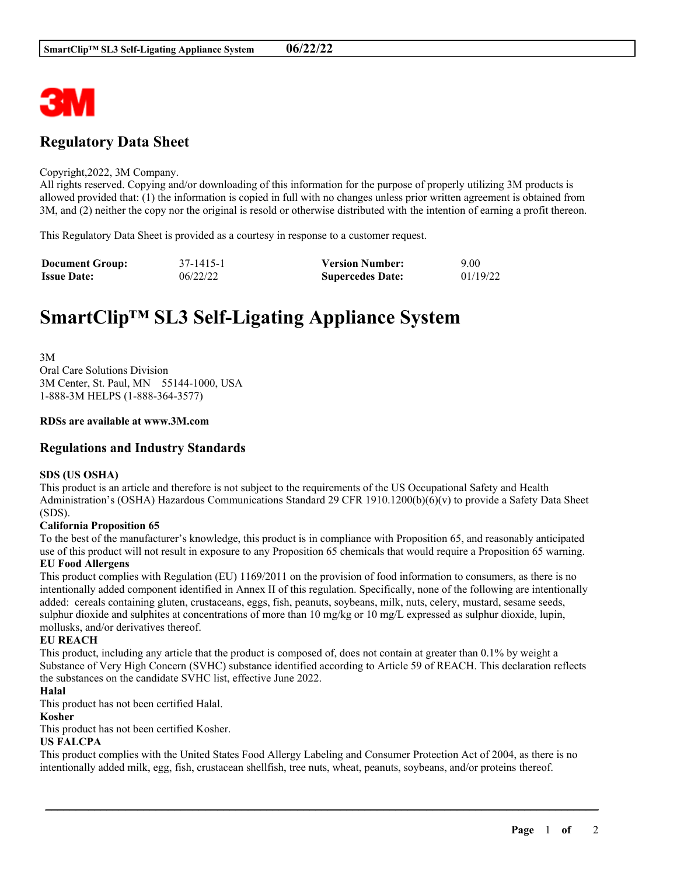

# **Regulatory Data Sheet**

#### Copyright,2022, 3M Company.

All rights reserved. Copying and/or downloading of this information for the purpose of properly utilizing 3M products is allowed provided that: (1) the information is copied in full with no changes unless prior written agreement is obtained from 3M, and (2) neither the copy nor the original is resold or otherwise distributed with the intention of earning a profit thereon.

This Regulatory Data Sheet is provided as a courtesy in response to a customer request.

| <b>Document Group:</b> | 37-1415-1 | <b>Version Number:</b>  | 9.00     |
|------------------------|-----------|-------------------------|----------|
| <b>Issue Date:</b>     | 06/22/22  | <b>Supercedes Date:</b> | 01/19/22 |

# **SmartClip™ SL3 Self-Ligating Appliance System**

3M Oral Care Solutions Division 3M Center, St. Paul, MN 55144-1000, USA 1-888-3M HELPS (1-888-364-3577)

#### **RDSs are available at www.3M.com**

### **Regulations and Industry Standards**

#### **SDS (US OSHA)**

This product is an article and therefore is not subject to the requirements of the US Occupational Safety and Health Administration's (OSHA) Hazardous Communications Standard 29 CFR 1910.1200(b)(6)(v) to provide a Safety Data Sheet (SDS).

#### **California Proposition 65**

To the best of the manufacturer's knowledge, this product is in compliance with Proposition 65, and reasonably anticipated use of this product will not result in exposure to any Proposition 65 chemicals that would require a Proposition 65 warning. **EU Food Allergens**

This product complies with Regulation (EU) 1169/2011 on the provision of food information to consumers, as there is no intentionally added component identified in Annex II of this regulation. Specifically, none of the following are intentionally added: cereals containing gluten, crustaceans, eggs, fish, peanuts, soybeans, milk, nuts, celery, mustard, sesame seeds, sulphur dioxide and sulphites at concentrations of more than 10 mg/kg or 10 mg/L expressed as sulphur dioxide, lupin, mollusks, and/or derivatives thereof.

#### **EU REACH**

This product, including any article that the product is composed of, does not contain at greater than 0.1% by weight a Substance of Very High Concern (SVHC) substance identified according to Article 59 of REACH. This declaration reflects the substances on the candidate SVHC list, effective June 2022.

#### **Halal**

This product has not been certified Halal.

#### **Kosher**

This product has not been certified Kosher.

#### **US FALCPA**

This product complies with the United States Food Allergy Labeling and Consumer Protection Act of 2004, as there is no intentionally added milk, egg, fish, crustacean shellfish, tree nuts, wheat, peanuts, soybeans, and/or proteins thereof.

\_\_\_\_\_\_\_\_\_\_\_\_\_\_\_\_\_\_\_\_\_\_\_\_\_\_\_\_\_\_\_\_\_\_\_\_\_\_\_\_\_\_\_\_\_\_\_\_\_\_\_\_\_\_\_\_\_\_\_\_\_\_\_\_\_\_\_\_\_\_\_\_\_\_\_\_\_\_\_\_\_\_\_\_\_\_\_\_\_\_